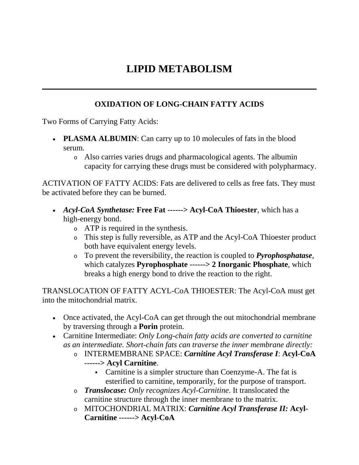# **LIPID METABOLISM**

## **OXIDATION OF LONG-CHAIN FATTY ACIDS**

Two Forms of Carrying Fatty Acids:

- **PLASMA ALBUMIN**: Can carry up to 10 molecules of fats in the blood serum.
	- o Also carries varies drugs and pharmacological agents. The albumin capacity for carrying these drugs must be considered with polypharmacy.

ACTIVATION OF FATTY ACIDS: Fats are delivered to cells as free fats. They must be activated before they can be burned.

- *Acyl-CoA Synthetase:* **Free Fat ------> Acyl-CoA Thioester**, which has a high-energy bond.
	- o ATP is required in the synthesis.
	- o This step is fully reversible, as ATP and the Acyl-CoA Thioester product both have equivalent energy levels.
	- o To prevent the reversibility, the reaction is coupled to *Pyrophosphatase*, which catalyzes **Pyrophosphate ------> 2 Inorganic Phosphate**, which breaks a high energy bond to drive the reaction to the right.

TRANSLOCATION OF FATTY ACYL-CoA THIOESTER: The Acyl-CoA must get into the mitochondrial matrix.

- Once activated, the Acyl-CoA can get through the out mitochondrial membrane by traversing through a **Porin** protein.
- Carnitine Intermediate: *Only Long-chain fatty acids are converted to carnitine as an intermediate. Short-chain fats can traverse the inner membrane directly:*
	- o INTERMEMBRANE SPACE: *Carnitine Acyl Transferase I*: **Acyl-CoA ------> Acyl Carnitine**.
		- Carnitine is a simpler structure than Coenzyme-A. The fat is esterified to carnitine, temporarily, for the purpose of transport.
	- o *Translocase: Only recognizes Acyl-Carnitine*. It translocated the carnitine structure through the inner membrane to the matrix.
	- o MITOCHONDRIAL MATRIX: *Carnitine Acyl Transferase II:* **Acyl-Carnitine ------> Acyl-CoA**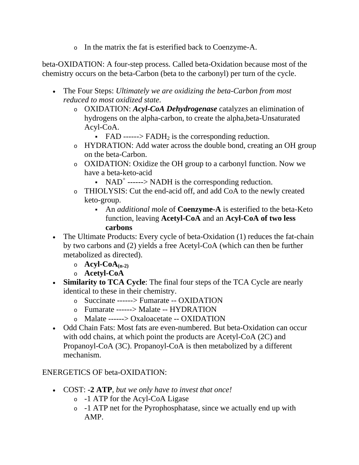o In the matrix the fat is esterified back to Coenzyme-A.

beta-OXIDATION: A four-step process. Called beta-Oxidation because most of the chemistry occurs on the beta-Carbon (beta to the carbonyl) per turn of the cycle.

- The Four Steps: *Ultimately we are oxidizing the beta-Carbon from most reduced to most oxidized state*.
	- o OXIDATION: *Acyl-CoA Dehydrogenase* catalyzes an elimination of hydrogens on the alpha-carbon, to create the alpha,beta-Unsaturated Acyl-CoA.

FAD ------>  $FADH_2$  is the corresponding reduction.

- o HYDRATION: Add water across the double bond, creating an OH group on the beta-Carbon.
- o OXIDATION: Oxidize the OH group to a carbonyl function. Now we have a beta-keto-acid
	- NAD<sup>+</sup> ------> NADH is the corresponding reduction.
- o THIOLYSIS: Cut the end-acid off, and add CoA to the newly created keto-group.
	- An *additional mole* of **Coenzyme-A** is esterified to the beta-Keto function, leaving **Acetyl-CoA** and an **Acyl-CoA of two less carbons**
- The Ultimate Products: Every cycle of beta-Oxidation (1) reduces the fat-chain by two carbons and (2) yields a free Acetyl-CoA (which can then be further metabolized as directed).
	- $\circ$  **Acyl-CoA**(n-2)
	- o **Acetyl-CoA**
- **Similarity to TCA Cycle**: The final four steps of the TCA Cycle are nearly identical to these in their chemistry.
	- o Succinate ------> Fumarate -- OXIDATION
	- o Fumarate ------> Malate -- HYDRATION
	- o Malate ------> Oxaloacetate -- OXIDATION
- Odd Chain Fats: Most fats are even-numbered. But beta-Oxidation can occur with odd chains, at which point the products are Acetyl-CoA (2C) and Propanoyl-CoA (3C). Propanoyl-CoA is then metabolized by a different mechanism.

# ENERGETICS OF beta-OXIDATION:

- COST: **-2 ATP**, *but we only have to invest that once!*
	- o -1 ATP for the Acyl-CoA Ligase
	- o -1 ATP net for the Pyrophosphatase, since we actually end up with AMP.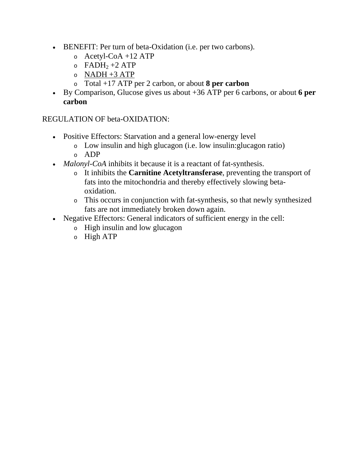- BENEFIT: Per turn of beta-Oxidation (i.e. per two carbons).
	- $\circ$  Acetyl-CoA +12 ATP
	- $\circ$  FADH<sub>2</sub> +2 ATP
	- o NADH +3 ATP
	- o Total +17 ATP per 2 carbon, or about **8 per carbon**
- By Comparison, Glucose gives us about +36 ATP per 6 carbons, or about **6 per carbon**

#### REGULATION OF beta-OXIDATION:

- Positive Effectors: Starvation and a general low-energy level
	- o Low insulin and high glucagon (i.e. low insulin:glucagon ratio)
	- o ADP
- *Malonyl-CoA* inhibits it because it is a reactant of fat-synthesis.
	- o It inhibits the **Carnitine Acetyltransferase**, preventing the transport of fats into the mitochondria and thereby effectively slowing betaoxidation.
	- o This occurs in conjunction with fat-synthesis, so that newly synthesized fats are not immediately broken down again.
- Negative Effectors: General indicators of sufficient energy in the cell:
	- o High insulin and low glucagon
	- o High ATP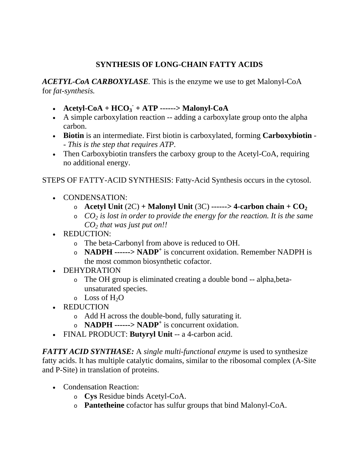## **SYNTHESIS OF LONG-CHAIN FATTY ACIDS**

*ACETYL-CoA CARBOXYLASE.* This is the enzyme we use to get Malonyl-CoA for *fat-synthesis.*

- **•**  $\text{Acetyl-CoA} + \text{HCO}_3 + \text{ATP}$  ------> Malonyl-CoA
- A simple carboxylation reaction -- adding a carboxylate group onto the alpha carbon.
- **Biotin** is an intermediate. First biotin is carboxylated, forming **Carboxybiotin** - *This is the step that requires ATP*.
- Then Carboxybiotin transfers the carboxy group to the Acetyl-CoA, requiring no additional energy.

STEPS OF FATTY-ACID SYNTHESIS: Fatty-Acid Synthesis occurs in the cytosol.

- CONDENSATION:
	- $\circ$  **Acetyl Unit** (2C) + Malonyl Unit (3C) ------> 4-carbon chain + CO<sub>2</sub>
	- <sup>o</sup> *CO2 is lost in order to provide the energy for the reaction. It is the same CO2 that was just put on!!*
- REDUCTION:
	- o The beta-Carbonyl from above is reduced to OH.
	- <sup>o</sup> **NADPH ------> NADP+** is concurrent oxidation. Remember NADPH is the most common biosynthetic cofactor.
- DEHYDRATION
	- o The OH group is eliminated creating a double bond -- alpha,betaunsaturated species.
	- $\circ$  Loss of H<sub>2</sub>O
- REDUCTION
	- o Add H across the double-bond, fully saturating it.
	- <sup>o</sup> **NADPH ------> NADP+** is concurrent oxidation.
- FINAL PRODUCT: **Butyryl Unit** -- a 4-carbon acid.

*FATTY ACID SYNTHASE:* A *single multi-functional enzyme* is used to synthesize fatty acids. It has multiple catalytic domains, similar to the ribosomal complex (A-Site and P-Site) in translation of proteins.

- Condensation Reaction:
	- o **Cys** Residue binds Acetyl-CoA.
	- o **Pantetheine** cofactor has sulfur groups that bind Malonyl-CoA.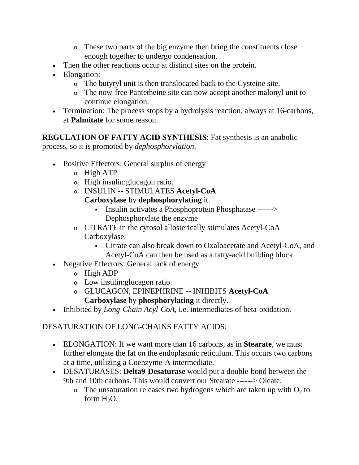- o These two parts of the big enzyme then bring the constituents close enough together to undergo condensation.
- Then the other reactions occur at distinct sites on the protein.
- Elongation:
	- o The butyryl unit is then translocated back to the Cysteine site.
	- o The now-free Pantetheine site can now accept another malonyl unit to continue elongation.
- Termination: The process stops by a hydrolysis reaction, always at 16-carbons, at **Palmitate** for some reason.

**REGULATION OF FATTY ACID SYNTHESIS**: Fat synthesis is an anabolic process, so it is promoted by *dephosphorylation*.

- Positive Effectors: General surplus of energy
	- o High ATP
	- o High insulin:glucagon ratio.
	- o INSULIN -- STIMULATES **Acetyl-CoA Carboxylase** by **dephosphorylating** it.
		- Insulin activates a Phosphoprotein Phosphatase ------> Dephosphorylate the enzyme
	- o CITRATE in the cytosol allosterically stimulates Acetyl-CoA Carboxylase.
		- Citrate can also break down to Oxaloacetate and Acetyl-CoA, and Acetyl-CoA can then be used as a fatty-acid building block.
- Negative Effectors: General lack of energy
	- o High ADP
	- o Low insulin:glucagon ratio
	- o GLUCAGON, EPINEPHRINE -- INHIBITS **Acetyl-CoA Carboxylase** by **phosphorylating** it directly.
- Inhibited by *Long-Chain Acyl-CoA*, i.e. intermediates of beta-oxidation.

# DESATURATION OF LONG-CHAINS FATTY ACIDS:

- ELONGATION: If we want more than 16 carbons, as in **Stearate**, we must further elongate the fat on the endoplasmic reticulum. This occurs two carbons at a time, utilizing a Coenzyme-A intermediate.
- DESATURASES: **Delta9-Desaturase** would put a double-bond between the 9th and 10th carbons. This would convert our Stearate ------> Oleate.
	- $\circ$  The unsaturation releases two hydrogens which are taken up with  $O_2$  to form  $H_2O$ .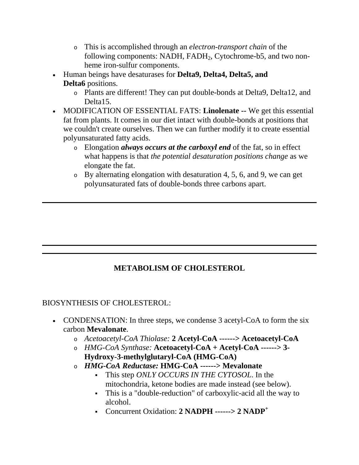- o This is accomplished through an *electron-transport chain* of the following components: NADH, FADH<sub>2</sub>, Cytochrome-b5, and two nonheme iron-sulfur components.
- Human beings have desaturases for **Delta9, Delta4, Delta5, and Delta6** positions.
	- o Plants are different! They can put double-bonds at Delta9, Delta12, and Delta15.
- MODIFICATION OF ESSENTIAL FATS: **Linolenate --** We get this essential fat from plants. It comes in our diet intact with double-bonds at positions that we couldn't create ourselves. Then we can further modify it to create essential polyunsaturated fatty acids.
	- o Elongation *always occurs at the carboxyl end* of the fat, so in effect what happens is that *the potential desaturation positions change* as we elongate the fat.
	- o By alternating elongation with desaturation 4, 5, 6, and 9, we can get polyunsaturated fats of double-bonds three carbons apart.

# **METABOLISM OF CHOLESTEROL**

#### BIOSYNTHESIS OF CHOLESTEROL:

- CONDENSATION: In three steps, we condense 3 acetyl-CoA to form the six carbon **Mevalonate**.
	- o *Acetoacetyl-CoA Thiolase:* **2 Acetyl-CoA ------> Acetoacetyl-CoA**
	- o *HMG-CoA Synthase:* **Acetoacetyl-CoA + Acetyl-CoA ------> 3- Hydroxy-3-methylglutaryl-CoA (HMG-CoA)**
	- o *HMG-CoA Reductase:* **HMG-CoA ------> Mevalonate**
		- This step *ONLY OCCURS IN THE CYTOSOL*. In the mitochondria, ketone bodies are made instead (see below).
		- This is a "double-reduction" of carboxylic-acid all the way to alcohol.
		- Concurrent Oxidation: **2 NADPH ------> 2 NADP<sup>+</sup>**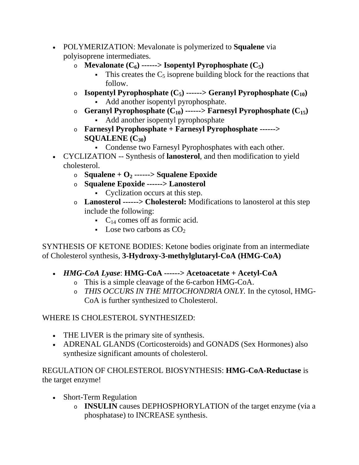- POLYMERIZATION: Mevalonate is polymerized to **Squalene** via polyisoprene intermediates.
	- **o Mevalonate**  $(C_6)$  ------> **Isopentyl Pyrophosphate**  $(C_5)$ 
		- This creates the  $C_5$  isoprene building block for the reactions that follow.
	- **o Isopentyl Pyrophosphate**  $(C_5)$  **------> Geranyl Pyrophosphate**  $(C_{10})$ 
		- Add another isopentyl pyrophosphate.
	- **o Geranyl Pyrophosphate**  $(C_{10})$  **------> Farnesyl Pyrophosphate**  $(C_{15})$ 
		- Add another isopentyl pyrophosphate
	- o **Farnesyl Pyrophosphate + Farnesyl Pyrophosphate ------> SQUALENE (C30)**
		- Condense two Farnesyl Pyrophosphates with each other.
- CYCLIZATION -- Synthesis of **lanosterol**, and then modification to yield cholesterol.
	- <sup>o</sup> **Squalene + O2 ------> Squalene Epoxide**
	- o **Squalene Epoxide ------> Lanosterol**
		- Cyclization occurs at this step.
	- o **Lanosterol ------> Cholesterol:** Modifications to lanosterol at this step include the following:
		- $\bullet$  C<sub>14</sub> comes off as formic acid.
		- Lose two carbons as  $CO<sub>2</sub>$

SYNTHESIS OF KETONE BODIES: Ketone bodies originate from an intermediate of Cholesterol synthesis, **3-Hydroxy-3-methylglutaryl-CoA (HMG-CoA)**

- *HMG-CoA Lyase*: **HMG-CoA ------> Acetoacetate + Acetyl-CoA**
	- o This is a simple cleavage of the 6-carbon HMG-CoA.
	- o *THIS OCCURS IN THE MITOCHONDRIA ONLY.* In the cytosol, HMG-CoA is further synthesized to Cholesterol.

# WHERE IS CHOLESTEROL SYNTHESIZED:

- THE LIVER is the primary site of synthesis.
- ADRENAL GLANDS (Corticosteroids) and GONADS (Sex Hormones) also synthesize significant amounts of cholesterol.

REGULATION OF CHOLESTEROL BIOSYNTHESIS: **HMG-CoA-Reductase** is the target enzyme!

- Short-Term Regulation
	- o **INSULIN** causes DEPHOSPHORYLATION of the target enzyme (via a phosphatase) to INCREASE synthesis.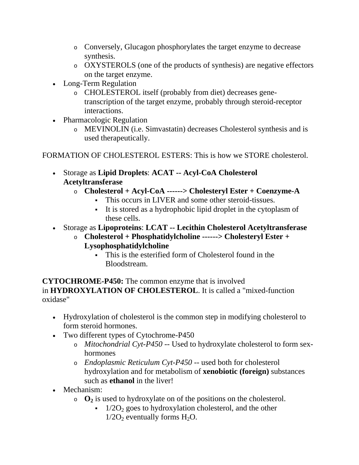- o Conversely, Glucagon phosphorylates the target enzyme to decrease synthesis.
- o OXYSTEROLS (one of the products of synthesis) are negative effectors on the target enzyme.
- Long-Term Regulation
	- o CHOLESTEROL itself (probably from diet) decreases genetranscription of the target enzyme, probably through steroid-receptor interactions.
- Pharmacologic Regulation
	- o MEVINOLIN (i.e. Simvastatin) decreases Cholesterol synthesis and is used therapeutically.

FORMATION OF CHOLESTEROL ESTERS: This is how we STORE cholesterol.

- Storage as **Lipid Droplets**: **ACAT -- Acyl-CoA Cholesterol Acetyltransferase**
	- o **Cholesterol + Acyl-CoA ------> Cholesteryl Ester + Coenzyme-A**
		- This occurs in LIVER and some other steroid-tissues.
		- It is stored as a hydrophobic lipid droplet in the cytoplasm of these cells.
- Storage as **Lipoproteins**: **LCAT -- Lecithin Cholesterol Acetyltransferase**
	- o **Cholesterol + Phosphatidylcholine ------> Cholesteryl Ester + Lysophosphatidylcholine**
		- This is the esterified form of Cholesterol found in the Bloodstream.

**CYTOCHROME-P450:** The common enzyme that is involved in **HYDROXYLATION OF CHOLESTEROL**. It is called a "mixed-function oxidase"

- Hydroxylation of cholesterol is the common step in modifying cholesterol to form steroid hormones.
- Two different types of Cytochrome-P450
	- o *Mitochondrial Cyt-P450* -- Used to hydroxylate cholesterol to form sexhormones
	- o *Endoplasmic Reticulum Cyt-P450* -- used both for cholesterol hydroxylation and for metabolism of **xenobiotic (foreign)** substances such as **ethanol** in the liver!
- Mechanism:
	- $\Omega_2$  is used to hydroxylate on of the positions on the cholesterol.
		- $1/2O<sub>2</sub>$  goes to hydroxylation cholesterol, and the other  $1/2O<sub>2</sub>$  eventually forms  $H<sub>2</sub>O$ .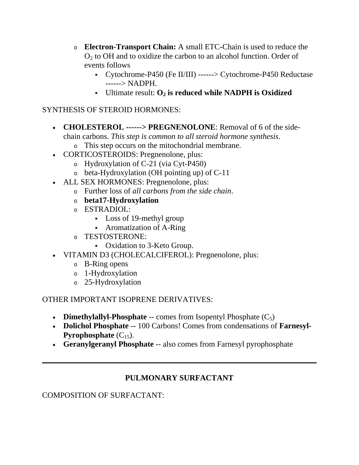- o **Electron-Transport Chain:** A small ETC-Chain is used to reduce the  $O<sub>2</sub>$  to OH and to oxidize the carbon to an alcohol function. Order of events follows
	- Cytochrome-P450 (Fe II/III) ------> Cytochrome-P450 Reductase ------> NADPH.
	- **Ultimate result:**  $O_2$  is reduced while NADPH is Oxidized

#### SYNTHESIS OF STEROID HORMONES:

- **CHOLESTEROL ------> PREGNENOLONE**: Removal of 6 of the sidechain carbons. *This step is common to all steroid hormone synthesis.*
	- o This step occurs on the mitochondrial membrane.
- CORTICOSTEROIDS: Pregnenolone, plus:
	- o Hydroxylation of C-21 (via Cyt-P450)
	- o beta-Hydroxylation (OH pointing up) of C-11
- ALL SEX HORMONES: Pregnenolone, plus:
	- o Further loss of *all carbons from the side chain*.
	- o **beta17-Hydroxylation**
	- o ESTRADIOL:
		- Loss of 19-methyl group
		- Aromatization of A-Ring
	- o TESTOSTERONE:
		- Oxidation to 3-Keto Group.
- VITAMIN D3 (CHOLECALCIFEROL): Pregnenolone, plus:
	- o B-Ring opens
	- o 1-Hydroxylation
	- o 25-Hydroxylation

#### OTHER IMPORTANT ISOPRENE DERIVATIVES:

- **Dimethylallyl-Phosphate** -- comes from Isopentyl Phosphate  $(C_5)$
- **Dolichol Phosphate** -- 100 Carbons! Comes from condensations of **Farnesyl-Pyrophosphate**  $(C_{15})$ .
- **Geranylgeranyl Phosphate** -- also comes from Farnesyl pyrophosphate

# **PULMONARY SURFACTANT**

COMPOSITION OF SURFACTANT: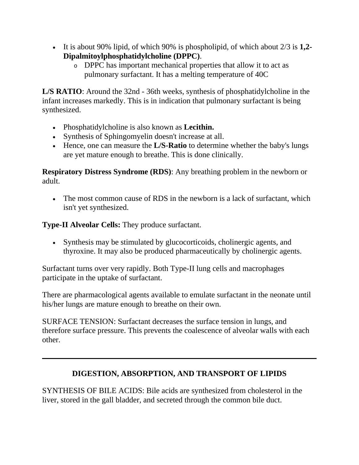- It is about 90% lipid, of which 90% is phospholipid, of which about 2/3 is **1,2- Dipalmitoylphosphatidylcholine (DPPC)**.
	- o DPPC has important mechanical properties that allow it to act as pulmonary surfactant. It has a melting temperature of 40C

**L/S RATIO**: Around the 32nd - 36th weeks, synthesis of phosphatidylcholine in the infant increases markedly. This is in indication that pulmonary surfactant is being synthesized.

- Phosphatidylcholine is also known as **Lecithin.**
- Synthesis of Sphingomyelin doesn't increase at all.
- Hence, one can measure the **L/S-Ratio** to determine whether the baby's lungs are yet mature enough to breathe. This is done clinically.

**Respiratory Distress Syndrome (RDS)**: Any breathing problem in the newborn or adult.

• The most common cause of RDS in the newborn is a lack of surfactant, which isn't yet synthesized.

**Type-II Alveolar Cells:** They produce surfactant.

 Synthesis may be stimulated by glucocorticoids, cholinergic agents, and thyroxine. It may also be produced pharmaceutically by cholinergic agents.

Surfactant turns over very rapidly. Both Type-II lung cells and macrophages participate in the uptake of surfactant.

There are pharmacological agents available to emulate surfactant in the neonate until his/her lungs are mature enough to breathe on their own.

SURFACE TENSION: Surfactant decreases the surface tension in lungs, and therefore surface pressure. This prevents the coalescence of alveolar walls with each other.

# **DIGESTION, ABSORPTION, AND TRANSPORT OF LIPIDS**

SYNTHESIS OF BILE ACIDS: Bile acids are synthesized from cholesterol in the liver, stored in the gall bladder, and secreted through the common bile duct.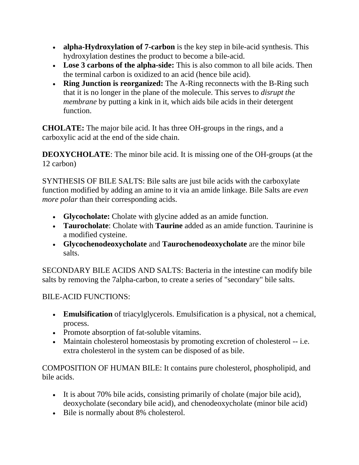- **alpha-Hydroxylation of 7-carbon** is the key step in bile-acid synthesis. This hydroxylation destines the product to become a bile-acid.
- **Lose 3 carbons of the alpha-side:** This is also common to all bile acids. Then the terminal carbon is oxidized to an acid (hence bile acid).
- **Ring Junction is reorganized:** The A-Ring reconnects with the B-Ring such that it is no longer in the plane of the molecule. This serves to *disrupt the membrane* by putting a kink in it, which aids bile acids in their detergent function.

**CHOLATE:** The major bile acid. It has three OH-groups in the rings, and a carboxylic acid at the end of the side chain.

**DEOXYCHOLATE**: The minor bile acid. It is missing one of the OH-groups (at the 12 carbon)

SYNTHESIS OF BILE SALTS: Bile salts are just bile acids with the carboxylate function modified by adding an amine to it via an amide linkage. Bile Salts are *even more polar* than their corresponding acids.

- **Glycocholate:** Cholate with glycine added as an amide function.
- **Taurocholate**: Cholate with **Taurine** added as an amide function. Taurinine is a modified cysteine.
- **Glycochenodeoxycholate** and **Taurochenodeoxycholate** are the minor bile salts.

SECONDARY BILE ACIDS AND SALTS: Bacteria in the intestine can modify bile salts by removing the 7alpha-carbon, to create a series of "secondary" bile salts.

#### BILE-ACID FUNCTIONS:

- **Emulsification** of triacylglycerols. Emulsification is a physical, not a chemical, process.
- Promote absorption of fat-soluble vitamins.
- Maintain cholesterol homeostasis by promoting excretion of cholesterol -- i.e. extra cholesterol in the system can be disposed of as bile.

COMPOSITION OF HUMAN BILE: It contains pure cholesterol, phospholipid, and bile acids.

- It is about 70% bile acids, consisting primarily of cholate (major bile acid), deoxycholate (secondary bile acid), and chenodeoxycholate (minor bile acid)
- Bile is normally about 8% cholesterol.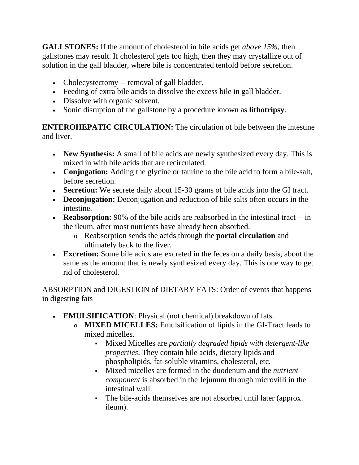**GALLSTONES:** If the amount of cholesterol in bile acids get *above 15%*, then gallstones may result. If cholesterol gets too high, then they may crystallize out of solution in the gall bladder, where bile is concentrated tenfold before secretion.

- Cholecystectomy -- removal of gall bladder.
- Feeding of extra bile acids to dissolve the excess bile in gall bladder.
- Dissolve with organic solvent.
- Sonic disruption of the gallstone by a procedure known as **lithotripsy**.

**ENTEROHEPATIC CIRCULATION:** The circulation of bile between the intestine and liver.

- New Synthesis: A small of bile acids are newly synthesized every day. This is mixed in with bile acids that are recirculated.
- **Conjugation:** Adding the glycine or taurine to the bile acid to form a bile-salt, before secretion.
- **Secretion:** We secrete daily about 15-30 grams of bile acids into the GI tract.
- **Deconjugation:** Deconjugation and reduction of bile salts often occurs in the intestine.
- **Reabsorption:** 90% of the bile acids are reabsorbed in the intestinal tract -- in the ileum, after most nutrients have already been absorbed.
	- o Reabsorption sends the acids through the **portal circulation** and ultimately back to the liver.
- **Excretion:** Some bile acids are excreted in the feces on a daily basis, about the same as the amount that is newly synthesized every day. This is one way to get rid of cholesterol.

ABSORPTION and DIGESTION of DIETARY FATS: Order of events that happens in digesting fats

- **EMULSIFICATION**: Physical (not chemical) breakdown of fats.
	- o **MIXED MICELLES:** Emulsification of lipids in the GI-Tract leads to mixed micelles.
		- Mixed Micelles are *partially degraded lipids with detergent-like properties*. They contain bile acids, dietary lipids and phospholipids, fat-soluble vitamins, cholesterol, etc.
		- Mixed micelles are formed in the duodenum and the *nutrientcomponent* is absorbed in the Jejunum through microvilli in the intestinal wall.
		- The bile-acids themselves are not absorbed until later (approx. ileum).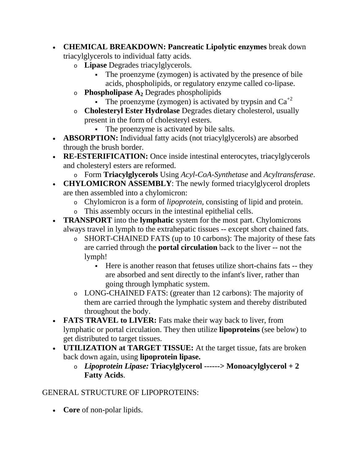- **CHEMICAL BREAKDOWN: Pancreatic Lipolytic enzymes** break down triacylglycerols to individual fatty acids.
	- o **Lipase** Degrades triacylglycerols.
		- The proenzyme (zymogen) is activated by the presence of bile acids, phospholipids, or regulatory enzyme called co-lipase.
	- <sup>o</sup> **Phospholipase A2** Degrades phospholipids
		- The proenzyme (zymogen) is activated by trypsin and  $Ca^{2}$
	- o **Cholesteryl Ester Hydrolase** Degrades dietary cholesterol, usually present in the form of cholesteryl esters.
		- The proenzyme is activated by bile salts.
- **ABSORPTION:** Individual fatty acids (not triacylglycerols) are absorbed through the brush border.
- **RE-ESTERIFICATION:** Once inside intestinal enterocytes, triacylglycerols and cholesteryl esters are reformed.
	- o Form **Triacylglycerols** Using *Acyl-CoA-Synthetase* and *Acyltransferase*.
- **CHYLOMICRON ASSEMBLY**: The newly formed triacylglycerol droplets are then assembled into a chylomicron:
	- o Chylomicron is a form of *lipoprotein*, consisting of lipid and protein.
	- o This assembly occurs in the intestinal epithelial cells.
- **TRANSPORT** into the **lymphatic** system for the most part. Chylomicrons always travel in lymph to the extrahepatic tissues -- except short chained fats.
	- o SHORT-CHAINED FATS (up to 10 carbons): The majority of these fats are carried through the **portal circulation** back to the liver -- not the lymph!
		- Here is another reason that fetuses utilize short-chains fats -- they are absorbed and sent directly to the infant's liver, rather than going through lymphatic system.
	- o LONG-CHAINED FATS: (greater than 12 carbons): The majority of them are carried through the lymphatic system and thereby distributed throughout the body.
- **FATS TRAVEL to LIVER:** Fats make their way back to liver, from lymphatic or portal circulation. They then utilize **lipoproteins** (see below) to get distributed to target tissues.
- **UTILIZATION at TARGET TISSUE:** At the target tissue, fats are broken back down again, using **lipoprotein lipase.**
	- o *Lipoprotein Lipase:* **Triacylglycerol ------> Monoacylglycerol + 2 Fatty Acids**.

# GENERAL STRUCTURE OF LIPOPROTEINS:

**Core** of non-polar lipids.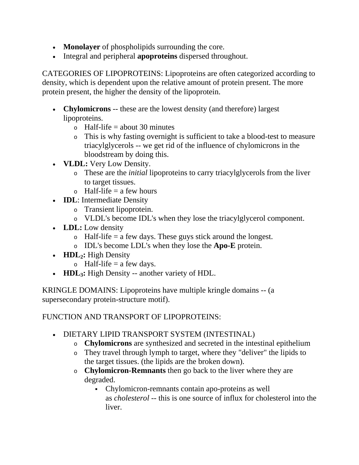- **Monolayer** of phospholipids surrounding the core.
- Integral and peripheral **apoproteins** dispersed throughout.

CATEGORIES OF LIPOPROTEINS: Lipoproteins are often categorized according to density, which is dependent upon the relative amount of protein present. The more protein present, the higher the density of the lipoprotein.

- **Chylomicrons** -- these are the lowest density (and therefore) largest lipoproteins.
	- $\circ$  Half-life = about 30 minutes
	- o This is why fasting overnight is sufficient to take a blood-test to measure triacylglycerols -- we get rid of the influence of chylomicrons in the bloodstream by doing this.
- **VLDL:** Very Low Density.
	- o These are the *initial* lipoproteins to carry triacylglycerols from the liver to target tissues.
	- $\circ$  Half-life = a few hours
- **IDL**: Intermediate Density
	- o Transient lipoprotein.
	- o VLDL's become IDL's when they lose the triacylglycerol component.
- LDL: Low density
	- $\circ$  Half-life = a few days. These guys stick around the longest.
	- o IDL's become LDL's when they lose the **Apo-E** protein.
- **HDL**<sub>2</sub>: High Density
	- $\circ$  Half-life = a few days.
- **HDL<sub>3</sub>:** High Density -- another variety of HDL.

KRINGLE DOMAINS: Lipoproteins have multiple kringle domains -- (a supersecondary protein-structure motif).

#### FUNCTION AND TRANSPORT OF LIPOPROTEINS:

- DIETARY LIPID TRANSPORT SYSTEM (INTESTINAL)
	- o **Chylomicrons** are synthesized and secreted in the intestinal epithelium
	- o They travel through lymph to target, where they "deliver" the lipids to the target tissues. (the lipids are the broken down).
	- o **Chylomicron-Remnants** then go back to the liver where they are degraded.
		- Chylomicron-remnants contain apo-proteins as well as *cholesterol* -- this is one source of influx for cholesterol into the liver.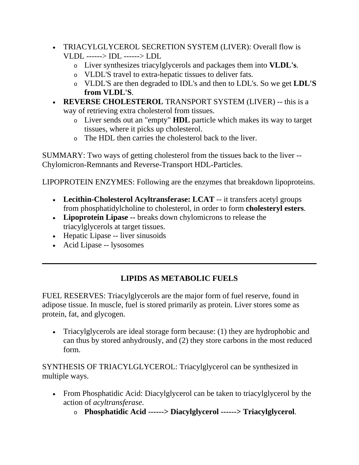- TRIACYLGLYCEROL SECRETION SYSTEM (LIVER): Overall flow is VLDL ------> IDL ------> LDL
	- o Liver synthesizes triacylglycerols and packages them into **VLDL's**.
	- o VLDL'S travel to extra-hepatic tissues to deliver fats.
	- o VLDL'S are then degraded to IDL's and then to LDL's. So we get **LDL'S from VLDL'S**.
- **REVERSE CHOLESTEROL** TRANSPORT SYSTEM (LIVER) -- this is a way of retrieving extra cholesterol from tissues.
	- o Liver sends out an "empty" **HDL** particle which makes its way to target tissues, where it picks up cholesterol.
	- o The HDL then carries the cholesterol back to the liver.

SUMMARY: Two ways of getting cholesterol from the tissues back to the liver -- Chylomicron-Remnants and Reverse-Transport HDL-Particles.

LIPOPROTEIN ENZYMES: Following are the enzymes that breakdown lipoproteins.

- Lecithin-Cholesterol Acyltransferase: LCAT -- it transfers acetyl groups from phosphatidylcholine to cholesterol, in order to form **cholesteryl esters**.
- **Lipoprotein Lipase --** breaks down chylomicrons to release the triacylglycerols at target tissues.
- Hepatic Lipase -- liver sinusoids
- Acid Lipase -- lysosomes

# **LIPIDS AS METABOLIC FUELS**

FUEL RESERVES: Triacylglycerols are the major form of fuel reserve, found in adipose tissue. In muscle, fuel is stored primarily as protein. Liver stores some as protein, fat, and glycogen.

 Triacylglycerols are ideal storage form because: (1) they are hydrophobic and can thus by stored anhydrously, and (2) they store carbons in the most reduced form.

SYNTHESIS OF TRIACYLGLYCEROL: Triacylglycerol can be synthesized in multiple ways.

- From Phosphatidic Acid: Diacylglycerol can be taken to triacylglycerol by the action of *acyltransferase*.
	- o **Phosphatidic Acid ------> Diacylglycerol ------> Triacylglycerol**.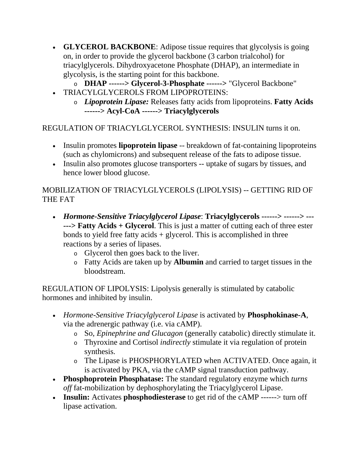- **GLYCEROL BACKBONE**: Adipose tissue requires that glycolysis is going on, in order to provide the glycerol backbone (3 carbon trialcohol) for triacylglycerols. Dihydroxyacetone Phosphate (DHAP), an intermediate in glycolysis, is the starting point for this backbone.
	- o **DHAP ------> Glycerol-3-Phosphate ------>** "Glycerol Backbone"
- TRIACYLGLYCEROLS FROM LIPOPROTEINS:
	- o *Lipoprotein Lipase:* Releases fatty acids from lipoproteins. **Fatty Acids ------> Acyl-CoA ------> Triacylglycerols**

REGULATION OF TRIACYLGLYCEROL SYNTHESIS: INSULIN turns it on.

- Insulin promotes **lipoprotein lipase** -- breakdown of fat-containing lipoproteins (such as chylomicrons) and subsequent release of the fats to adipose tissue.
- Insulin also promotes glucose transporters -- uptake of sugars by tissues, and hence lower blood glucose.

MOBILIZATION OF TRIACYLGLYCEROLS (LIPOLYSIS) -- GETTING RID OF THE FAT

- *Hormone-Sensitive Triacylglycerol Lipase*: **Triacylglycerols ------> ------> --- ---> Fatty Acids + Glycerol**. This is just a matter of cutting each of three ester bonds to yield free fatty  $acids + glycerol$ . This is accomplished in three reactions by a series of lipases.
	- o Glycerol then goes back to the liver.
	- o Fatty Acids are taken up by **Albumin** and carried to target tissues in the bloodstream.

REGULATION OF LIPOLYSIS: Lipolysis generally is stimulated by catabolic hormones and inhibited by insulin.

- *Hormone-Sensitive Triacylglycerol Lipase* is activated by **Phosphokinase-A**, via the adrenergic pathway (i.e. via cAMP).
	- o So, *Epinephrine and Glucagon* (generally catabolic) directly stimulate it.
	- o Thyroxine and Cortisol *indirectly* stimulate it via regulation of protein synthesis.
	- o The Lipase is PHOSPHORYLATED when ACTIVATED. Once again, it is activated by PKA, via the cAMP signal transduction pathway.
- **Phosphoprotein Phosphatase:** The standard regulatory enzyme which *turns off* fat-mobilization by dephosphorylating the Triacylglycerol Lipase.
- **Insulin:** Activates **phosphodiesterase** to get rid of the cAMP ------> turn off lipase activation.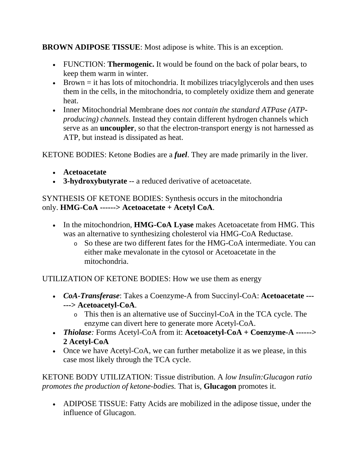**BROWN ADIPOSE TISSUE**: Most adipose is white. This is an exception.

- FUNCTION: **Thermogenic.** It would be found on the back of polar bears, to keep them warm in winter.
- Brown  $=$  it has lots of mitochondria. It mobilizes triacylglycerols and then uses them in the cells, in the mitochondria, to completely oxidize them and generate heat.
- Inner Mitochondrial Membrane does *not contain the standard ATPase (ATPproducing) channels.* Instead they contain different hydrogen channels which serve as an **uncoupler**, so that the electron-transport energy is not harnessed as ATP, but instead is dissipated as heat.

KETONE BODIES: Ketone Bodies are a *fuel*. They are made primarily in the liver.

- **Acetoacetate**
- **3-hydroxybutyrate** -- a reduced derivative of acetoacetate.

SYNTHESIS OF KETONE BODIES: Synthesis occurs in the mitochondria only. **HMG-CoA ------> Acetoacetate + Acetyl CoA**.

- In the mitochondrion, **HMG-CoA Lyase** makes Acetoacetate from HMG. This was an alternative to synthesizing cholesterol via HMG-CoA Reductase.
	- o So these are two different fates for the HMG-CoA intermediate. You can either make mevalonate in the cytosol or Acetoacetate in the mitochondria.

UTILIZATION OF KETONE BODIES: How we use them as energy

- *CoA-Transferase*: Takes a Coenzyme-A from Succinyl-CoA: **Acetoacetate --- ---> Acetoacetyl-CoA**.
	- o This then is an alternative use of Succinyl-CoA in the TCA cycle. The enzyme can divert here to generate more Acetyl-CoA.
- *Thiolase:* Forms Acetyl-CoA from it: **Acetoacetyl-CoA + Coenzyme-A ------> 2 Acetyl-CoA**
- Once we have Acetyl-CoA, we can further metabolize it as we please, in this case most likely through the TCA cycle.

KETONE BODY UTILIZATION: Tissue distribution. A *low Insulin:Glucagon ratio promotes the production of ketone-bodies.* That is, **Glucagon** promotes it.

 ADIPOSE TISSUE: Fatty Acids are mobilized in the adipose tissue, under the influence of Glucagon.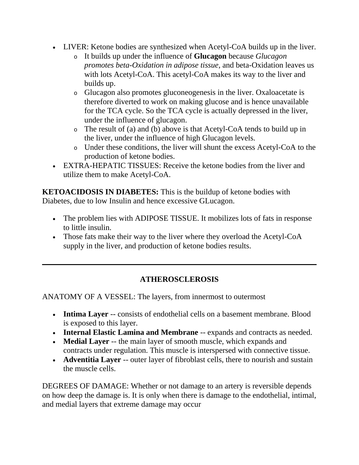- LIVER: Ketone bodies are synthesized when Acetyl-CoA builds up in the liver.
	- o It builds up under the influence of **Glucagon** because *Glucagon promotes beta-Oxidation in adipose tissue*, and beta-Oxidation leaves us with lots Acetyl-CoA. This acetyl-CoA makes its way to the liver and builds up.
	- o Glucagon also promotes gluconeogenesis in the liver. Oxaloacetate is therefore diverted to work on making glucose and is hence unavailable for the TCA cycle. So the TCA cycle is actually depressed in the liver, under the influence of glucagon.
	- o The result of (a) and (b) above is that Acetyl-CoA tends to build up in the liver, under the influence of high Glucagon levels.
	- o Under these conditions, the liver will shunt the excess Acetyl-CoA to the production of ketone bodies.
- EXTRA-HEPATIC TISSUES: Receive the ketone bodies from the liver and utilize them to make Acetyl-CoA.

**KETOACIDOSIS IN DIABETES:** This is the buildup of ketone bodies with Diabetes, due to low Insulin and hence excessive GLucagon.

- The problem lies with ADIPOSE TISSUE. It mobilizes lots of fats in response to little insulin.
- Those fats make their way to the liver where they overload the Acetyl-CoA supply in the liver, and production of ketone bodies results.

#### **ATHEROSCLEROSIS**

ANATOMY OF A VESSEL: The layers, from innermost to outermost

- **Intima Layer** -- consists of endothelial cells on a basement membrane. Blood is exposed to this layer.
- **Internal Elastic Lamina and Membrane** -- expands and contracts as needed.
- **Medial Layer** -- the main layer of smooth muscle, which expands and contracts under regulation. This muscle is interspersed with connective tissue.
- **Adventitia Layer** -- outer layer of fibroblast cells, there to nourish and sustain the muscle cells.

DEGREES OF DAMAGE: Whether or not damage to an artery is reversible depends on how deep the damage is. It is only when there is damage to the endothelial, intimal, and medial layers that extreme damage may occur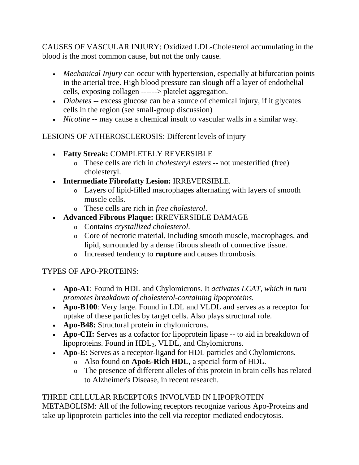CAUSES OF VASCULAR INJURY: Oxidized LDL-Cholesterol accumulating in the blood is the most common cause, but not the only cause.

- *Mechanical Injury* can occur with hypertension, especially at bifurcation points in the arterial tree. High blood pressure can slough off a layer of endothelial cells, exposing collagen ------> platelet aggregation.
- *Diabetes* -- excess glucose can be a source of chemical injury, if it glycates cells in the region (see small-group discussion)
- *Nicotine* -- may cause a chemical insult to vascular walls in a similar way.

LESIONS OF ATHEROSCLEROSIS: Different levels of injury

- **Fatty Streak:** COMPLETELY REVERSIBLE
	- o These cells are rich in *cholesteryl esters* -- not unesterified (free) cholesteryl.
- **Intermediate Fibrofatty Lesion:** IRREVERSIBLE.
	- o Layers of lipid-filled macrophages alternating with layers of smooth muscle cells.
	- o These cells are rich in *free cholesterol*.
- **Advanced Fibrous Plaque:** IRREVERSIBLE DAMAGE
	- o Contains *crystallized cholesterol*.
	- o Core of necrotic material, including smooth muscle, macrophages, and lipid, surrounded by a dense fibrous sheath of connective tissue.
	- o Increased tendency to **rupture** and causes thrombosis.

#### TYPES OF APO-PROTEINS:

- **Apo-A1**: Found in HDL and Chylomicrons. It *activates LCAT, which in turn promotes breakdown of cholesterol-containing lipoproteins.*
- **Apo-B100**: Very large. Found in LDL and VLDL and serves as a receptor for uptake of these particles by target cells. Also plays structural role.
- **Apo-B48:** Structural protein in chylomicrons.
- **Apo-CII:** Serves as a cofactor for lipoprotein lipase -- to aid in breakdown of lipoproteins. Found in HDL<sub>2</sub>, VLDL, and Chylomicrons.
- **Apo-E:** Serves as a receptor-ligand for HDL particles and Chylomicrons.
	- o Also found on **ApoE-Rich HDL**, a special form of HDL.
	- o The presence of different alleles of this protein in brain cells has related to Alzheimer's Disease, in recent research.

# THREE CELLULAR RECEPTORS INVOLVED IN LIPOPROTEIN

METABOLISM: All of the following receptors recognize various Apo-Proteins and take up lipoprotein-particles into the cell via receptor-mediated endocytosis.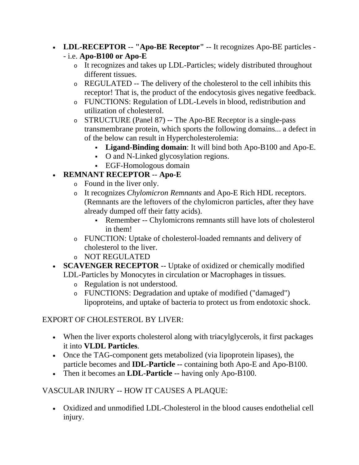- **LDL-RECEPTOR** -- **"Apo-BE Receptor"** -- It recognizes Apo-BE particles - i.e. **Apo-B100 or Apo-E**
	- o It recognizes and takes up LDL-Particles; widely distributed throughout different tissues.
	- o REGULATED -- The delivery of the cholesterol to the cell inhibits this receptor! That is, the product of the endocytosis gives negative feedback.
	- o FUNCTIONS: Regulation of LDL-Levels in blood, redistribution and utilization of cholesterol.
	- o STRUCTURE (Panel 87) -- The Apo-BE Receptor is a single-pass transmembrane protein, which sports the following domains... a defect in of the below can result in Hypercholesterolemia:
		- **Ligand-Binding domain**: It will bind both Apo-B100 and Apo-E.
		- O and N-Linked glycosylation regions.
		- EGF-Homologous domain

## **REMNANT RECEPTOR** -- **Apo-E**

- o Found in the liver only.
- o It recognizes *Chylomicron Remnants* and Apo-E Rich HDL receptors. (Remnants are the leftovers of the chylomicron particles, after they have already dumped off their fatty acids).
	- Remember -- Chylomicrons remnants still have lots of cholesterol in them!
- o FUNCTION: Uptake of cholesterol-loaded remnants and delivery of cholesterol to the liver.
- o NOT REGULATED
- **SCAVENGER RECEPTOR** -- Uptake of oxidized or chemically modified LDL-Particles by Monocytes in circulation or Macrophages in tissues.
	- o Regulation is not understood.
	- o FUNCTIONS: Degradation and uptake of modified ("damaged") lipoproteins, and uptake of bacteria to protect us from endotoxic shock.

#### EXPORT OF CHOLESTEROL BY LIVER:

- When the liver exports cholesterol along with triacylglycerols, it first packages it into **VLDL Particles**.
- Once the TAG-component gets metabolized (via lipoprotein lipases), the particle becomes and **IDL-Particle --** containing both Apo-E and Apo-B100.
- Then it becomes an **LDL-Particle --** having only Apo-B100.

# VASCULAR INJURY -- HOW IT CAUSES A PLAQUE:

 Oxidized and unmodified LDL-Cholesterol in the blood causes endothelial cell injury.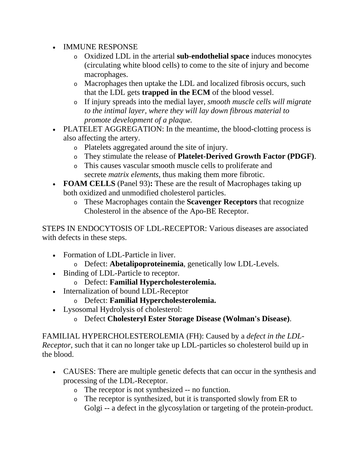- IMMUNE RESPONSE
	- o Oxidized LDL in the arterial **sub-endothelial space** induces monocytes (circulating white blood cells) to come to the site of injury and become macrophages.
	- o Macrophages then uptake the LDL and localized fibrosis occurs, such that the LDL gets **trapped in the ECM** of the blood vessel.
	- o If injury spreads into the medial layer, *smooth muscle cells will migrate to the intimal layer, where they will lay down fibrous material to promote development of a plaque.*
- PLATELET AGGREGATION: In the meantime, the blood-clotting process is also affecting the artery.
	- o Platelets aggregated around the site of injury.
	- o They stimulate the release of **Platelet-Derived Growth Factor (PDGF)**.
	- o This causes vascular smooth muscle cells to proliferate and secrete *matrix elements*, thus making them more fibrotic.
- **FOAM CELLS** (Panel 93)**:** These are the result of Macrophages taking up both oxidized and unmodified cholesterol particles.
	- o These Macrophages contain the **Scavenger Receptors** that recognize Cholesterol in the absence of the Apo-BE Receptor.

STEPS IN ENDOCYTOSIS OF LDL-RECEPTOR: Various diseases are associated with defects in these steps.

- Formation of LDL-Particle in liver.
	- o Defect: **Abetalipoproteinemia**, genetically low LDL-Levels.
- Binding of LDL-Particle to receptor.
	- o Defect: **Familial Hypercholesterolemia.**
- Internalization of bound LDL-Receptor
	- o Defect: **Familial Hypercholesterolemia.**
- Lysosomal Hydrolysis of cholesterol:
	- o Defect **Cholesteryl Ester Storage Disease (Wolman's Disease)**.

FAMILIAL HYPERCHOLESTEROLEMIA (FH): Caused by a *defect in the LDL-Receptor*, such that it can no longer take up LDL-particles so cholesterol build up in the blood.

- CAUSES: There are multiple genetic defects that can occur in the synthesis and processing of the LDL-Receptor.
	- o The receptor is not synthesized -- no function.
	- o The receptor is synthesized, but it is transported slowly from ER to Golgi -- a defect in the glycosylation or targeting of the protein-product.